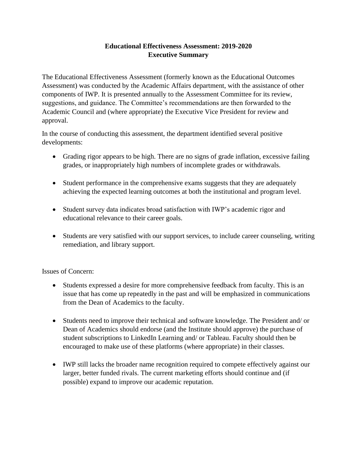## **Educational Effectiveness Assessment: 2019-2020 Executive Summary**

The Educational Effectiveness Assessment (formerly known as the Educational Outcomes Assessment) was conducted by the Academic Affairs department, with the assistance of other components of IWP. It is presented annually to the Assessment Committee for its review, suggestions, and guidance. The Committee's recommendations are then forwarded to the Academic Council and (where appropriate) the Executive Vice President for review and approval.

In the course of conducting this assessment, the department identified several positive developments:

- Grading rigor appears to be high. There are no signs of grade inflation, excessive failing grades, or inappropriately high numbers of incomplete grades or withdrawals.
- Student performance in the comprehensive exams suggests that they are adequately achieving the expected learning outcomes at both the institutional and program level.
- Student survey data indicates broad satisfaction with IWP's academic rigor and educational relevance to their career goals.
- Students are very satisfied with our support services, to include career counseling, writing remediation, and library support.

## Issues of Concern:

- Students expressed a desire for more comprehensive feedback from faculty. This is an issue that has come up repeatedly in the past and will be emphasized in communications from the Dean of Academics to the faculty.
- Students need to improve their technical and software knowledge. The President and/ or Dean of Academics should endorse (and the Institute should approve) the purchase of student subscriptions to LinkedIn Learning and/ or Tableau. Faculty should then be encouraged to make use of these platforms (where appropriate) in their classes.
- IWP still lacks the broader name recognition required to compete effectively against our larger, better funded rivals. The current marketing efforts should continue and (if possible) expand to improve our academic reputation.